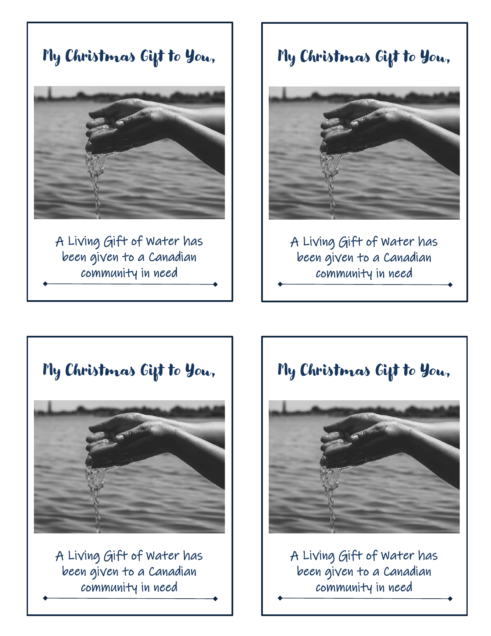My Christmas Gift to You,

A Living Gift of Water has been given to a Canadian community in need

# My Christmas Gift to You,



A Living Gift of Water has been given to a Canadian community in need



A Living Gift of Water has been given to a Canadian community in need

# My Christmas Gift to You,



A Living Gift of Water has been given to a Canadian community in need